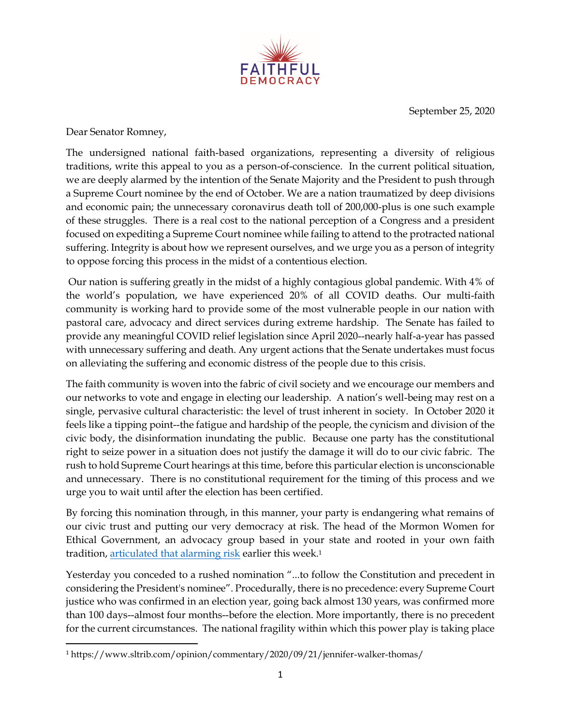

September 25, 2020

Dear Senator Romney,

The undersigned national faith-based organizations, representing a diversity of religious traditions, write this appeal to you as a person-of-conscience. In the current political situation, we are deeply alarmed by the intention of the Senate Majority and the President to push through a Supreme Court nominee by the end of October. We are a nation traumatized by deep divisions and economic pain; the unnecessary coronavirus death toll of 200,000-plus is one such example of these struggles. There is a real cost to the national perception of a Congress and a president focused on expediting a Supreme Court nominee while failing to attend to the protracted national suffering. Integrity is about how we represent ourselves, and we urge you as a person of integrity to oppose forcing this process in the midst of a contentious election.

Our nation is suffering greatly in the midst of a highly contagious global pandemic. With 4% of the world's population, we have experienced 20% of all COVID deaths. Our multi-faith community is working hard to provide some of the most vulnerable people in our nation with pastoral care, advocacy and direct services during extreme hardship. The Senate has failed to provide any meaningful COVID relief legislation since April 2020--nearly half-a-year has passed with unnecessary suffering and death. Any urgent actions that the Senate undertakes must focus on alleviating the suffering and economic distress of the people due to this crisis.

The faith community is woven into the fabric of civil society and we encourage our members and our networks to vote and engage in electing our leadership. A nation's well-being may rest on a single, pervasive cultural characteristic: the level of trust inherent in society. In October 2020 it feels like a tipping point--the fatigue and hardship of the people, the cynicism and division of the civic body, the disinformation inundating the public. Because one party has the constitutional right to seize power in a situation does not justify the damage it will do to our civic fabric. The rush to hold Supreme Court hearings at this time, before this particular election is unconscionable and unnecessary. There is no constitutional requirement for the timing of this process and we urge you to wait until after the election has been certified.

By forcing this nomination through, in this manner, your party is endangering what remains of our civic trust and putting our very democracy at risk. The head of the Mormon Women for Ethical Government, an advocacy group based in your state and rooted in your own faith tradition, <u>articulated that alarming risk</u> earlier this week.<sup>1</sup>

Yesterday you conceded to a rushed nomination "...to follow the Constitution and precedent in considering the President's nominee". Procedurally, there is no precedence: every Supreme Court justice who was confirmed in an election year, going back almost 130 years, was confirmed more than 100 days--almost four months--before the election. More importantly, there is no precedent for the current circumstances. The national fragility within which this power play is taking place

l <sup>1</sup> https://www.sltrib.com/opinion/commentary/2020/09/21/jennifer-walker-thomas/